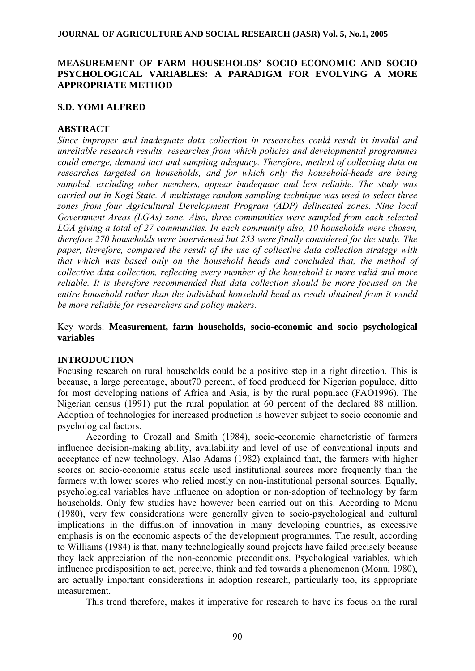#### **JOURNAL OF AGRICULTURE AND SOCIAL RESEARCH (JASR) Vol. 5, No.1, 2005**

# **MEASUREMENT OF FARM HOUSEHOLDS' SOCIO-ECONOMIC AND SOCIO PSYCHOLOGICAL VARIABLES: A PARADIGM FOR EVOLVING A MORE APPROPRIATE METHOD**

#### **S.D. YOMI ALFRED**

### **ABSTRACT**

*Since improper and inadequate data collection in researches could result in invalid and unreliable research results, researches from which policies and developmental programmes could emerge, demand tact and sampling adequacy. Therefore, method of collecting data on researches targeted on households, and for which only the household-heads are being sampled, excluding other members, appear inadequate and less reliable. The study was carried out in Kogi State. A multistage random sampling technique was used to select three zones from four Agricultural Development Program (ADP) delineated zones. Nine local Government Areas (LGAs) zone. Also, three communities were sampled from each selected LGA giving a total of 27 communities. In each community also, 10 households were chosen, therefore 270 households were interviewed but 253 were finally considered for the study. The paper, therefore, compared the result of the use of collective data collection strategy with that which was based only on the household heads and concluded that, the method of collective data collection, reflecting every member of the household is more valid and more reliable. It is therefore recommended that data collection should be more focused on the entire household rather than the individual household head as result obtained from it would be more reliable for researchers and policy makers.* 

# Key words: **Measurement, farm households, socio-economic and socio psychological variables**

#### **INTRODUCTION**

Focusing research on rural households could be a positive step in a right direction. This is because, a large percentage, about70 percent, of food produced for Nigerian populace, ditto for most developing nations of Africa and Asia, is by the rural populace (FAO1996). The Nigerian census (1991) put the rural population at 60 percent of the declared 88 million. Adoption of technologies for increased production is however subject to socio economic and psychological factors.

According to Crozall and Smith (1984), socio-economic characteristic of farmers influence decision-making ability, availability and level of use of conventional inputs and acceptance of new technology. Also Adams (1982) explained that, the farmers with higher scores on socio-economic status scale used institutional sources more frequently than the farmers with lower scores who relied mostly on non-institutional personal sources. Equally, psychological variables have influence on adoption or non-adoption of technology by farm households. Only few studies have however been carried out on this. According to Monu (1980), very few considerations were generally given to socio-psychological and cultural implications in the diffusion of innovation in many developing countries, as excessive emphasis is on the economic aspects of the development programmes. The result, according to Williams (1984) is that, many technologically sound projects have failed precisely because they lack appreciation of the non-economic preconditions. Psychological variables, which influence predisposition to act, perceive, think and fed towards a phenomenon (Monu, 1980), are actually important considerations in adoption research, particularly too, its appropriate measurement.

This trend therefore, makes it imperative for research to have its focus on the rural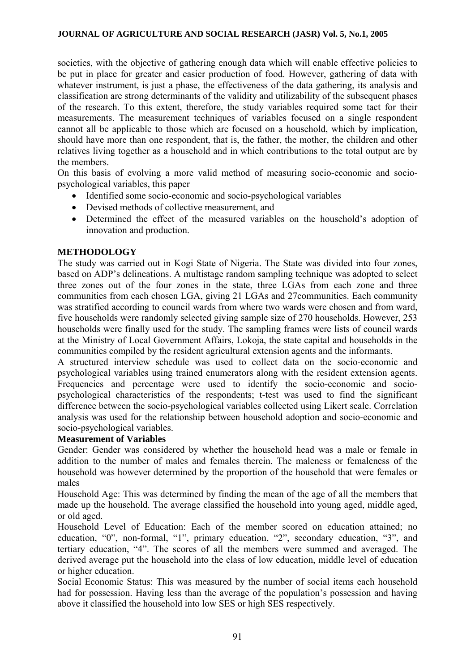# **JOURNAL OF AGRICULTURE AND SOCIAL RESEARCH (JASR) Vol. 5, No.1, 2005**

societies, with the objective of gathering enough data which will enable effective policies to be put in place for greater and easier production of food. However, gathering of data with whatever instrument, is just a phase, the effectiveness of the data gathering, its analysis and classification are strong determinants of the validity and utilizability of the subsequent phases of the research. To this extent, therefore, the study variables required some tact for their measurements. The measurement techniques of variables focused on a single respondent cannot all be applicable to those which are focused on a household, which by implication, should have more than one respondent, that is, the father, the mother, the children and other relatives living together as a household and in which contributions to the total output are by the members.

On this basis of evolving a more valid method of measuring socio-economic and sociopsychological variables, this paper

- Identified some socio-economic and socio-psychological variables
- Devised methods of collective measurement, and
- Determined the effect of the measured variables on the household's adoption of innovation and production.

# **METHODOLOGY**

The study was carried out in Kogi State of Nigeria. The State was divided into four zones, based on ADP's delineations. A multistage random sampling technique was adopted to select three zones out of the four zones in the state, three LGAs from each zone and three communities from each chosen LGA, giving 21 LGAs and 27communities. Each community was stratified according to council wards from where two wards were chosen and from ward, five households were randomly selected giving sample size of 270 households. However, 253 households were finally used for the study. The sampling frames were lists of council wards at the Ministry of Local Government Affairs, Lokoja, the state capital and households in the communities compiled by the resident agricultural extension agents and the informants.

A structured interview schedule was used to collect data on the socio-economic and psychological variables using trained enumerators along with the resident extension agents. Frequencies and percentage were used to identify the socio-economic and sociopsychological characteristics of the respondents; t-test was used to find the significant difference between the socio-psychological variables collected using Likert scale. Correlation analysis was used for the relationship between household adoption and socio-economic and socio-psychological variables.

## **Measurement of Variables**

Gender: Gender was considered by whether the household head was a male or female in addition to the number of males and females therein. The maleness or femaleness of the household was however determined by the proportion of the household that were females or males

Household Age: This was determined by finding the mean of the age of all the members that made up the household. The average classified the household into young aged, middle aged, or old aged.

Household Level of Education: Each of the member scored on education attained; no education, "0", non-formal, "1", primary education, "2", secondary education, "3", and tertiary education, "4". The scores of all the members were summed and averaged. The derived average put the household into the class of low education, middle level of education or higher education.

Social Economic Status: This was measured by the number of social items each household had for possession. Having less than the average of the population's possession and having above it classified the household into low SES or high SES respectively.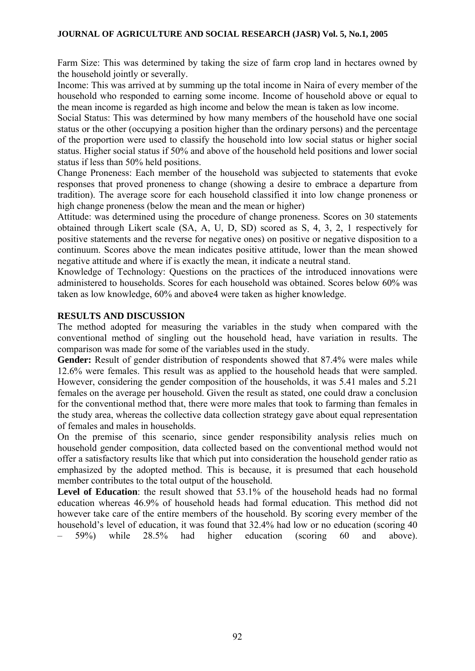Farm Size: This was determined by taking the size of farm crop land in hectares owned by the household jointly or severally.

Income: This was arrived at by summing up the total income in Naira of every member of the household who responded to earning some income. Income of household above or equal to the mean income is regarded as high income and below the mean is taken as low income.

Social Status: This was determined by how many members of the household have one social status or the other (occupying a position higher than the ordinary persons) and the percentage of the proportion were used to classify the household into low social status or higher social status. Higher social status if 50% and above of the household held positions and lower social status if less than 50% held positions.

Change Proneness: Each member of the household was subjected to statements that evoke responses that proved proneness to change (showing a desire to embrace a departure from tradition). The average score for each household classified it into low change proneness or high change proneness (below the mean and the mean or higher)

Attitude: was determined using the procedure of change proneness. Scores on 30 statements obtained through Likert scale (SA, A, U, D, SD) scored as S, 4, 3, 2, 1 respectively for positive statements and the reverse for negative ones) on positive or negative disposition to a continuum. Scores above the mean indicates positive attitude, lower than the mean showed negative attitude and where if is exactly the mean, it indicate a neutral stand.

Knowledge of Technology: Questions on the practices of the introduced innovations were administered to households. Scores for each household was obtained. Scores below 60% was taken as low knowledge, 60% and above4 were taken as higher knowledge.

# **RESULTS AND DISCUSSION**

The method adopted for measuring the variables in the study when compared with the conventional method of singling out the household head, have variation in results. The comparison was made for some of the variables used in the study.

Gender: Result of gender distribution of respondents showed that 87.4% were males while 12.6% were females. This result was as applied to the household heads that were sampled. However, considering the gender composition of the households, it was 5.41 males and 5.21 females on the average per household. Given the result as stated, one could draw a conclusion for the conventional method that, there were more males that took to farming than females in the study area, whereas the collective data collection strategy gave about equal representation of females and males in households.

On the premise of this scenario, since gender responsibility analysis relies much on household gender composition, data collected based on the conventional method would not offer a satisfactory results like that which put into consideration the household gender ratio as emphasized by the adopted method. This is because, it is presumed that each household member contributes to the total output of the household.

Level of Education: the result showed that 53.1% of the household heads had no formal education whereas 46.9% of household heads had formal education. This method did not however take care of the entire members of the household. By scoring every member of the household's level of education, it was found that  $32.4\%$  had low or no education (scoring 40) – 59%) while 28.5% had higher education (scoring 60 and above).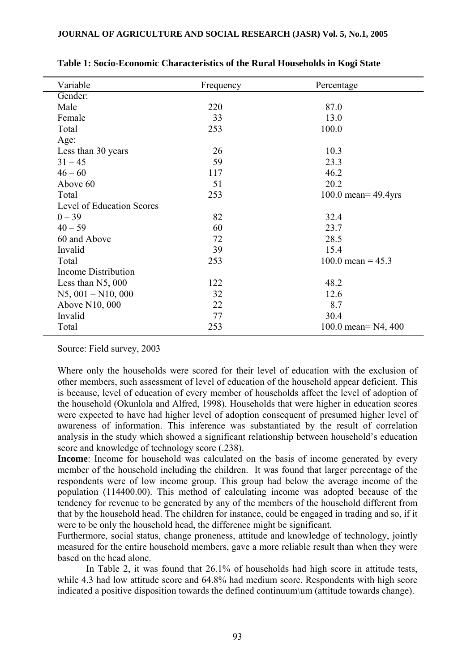| Variable                   | Frequency | Percentage               |  |  |
|----------------------------|-----------|--------------------------|--|--|
| Gender:                    |           |                          |  |  |
| Male                       | 220       | 87.0                     |  |  |
| Female                     | 33        | 13.0                     |  |  |
| Total                      | 253       | 100.0                    |  |  |
| Age:                       |           |                          |  |  |
| Less than 30 years         | 26        | 10.3                     |  |  |
| $31 - 45$                  | 59        | 23.3                     |  |  |
| $46 - 60$                  | 117       | 46.2                     |  |  |
| Above 60                   | 51        | 20.2                     |  |  |
| Total                      | 253       | $100.0$ mean= $49.4$ yrs |  |  |
| Level of Education Scores  |           |                          |  |  |
| $0 - 39$                   | 82        | 32.4                     |  |  |
| $40 - 59$                  | 60        | 23.7                     |  |  |
| 60 and Above               | 72        | 28.5                     |  |  |
| Invalid                    | 39        | 15.4                     |  |  |
| Total                      | 253       | 100.0 mean = $45.3$      |  |  |
| <b>Income Distribution</b> |           |                          |  |  |
| Less than $N5$ , 000       | 122       | 48.2                     |  |  |
| $N5,001 - N10,000$         | 32        | 12.6                     |  |  |
| Above N10, 000             | 22        | 8.7                      |  |  |
| Invalid                    | 77        | 30.4                     |  |  |
| Total                      | 253       | 100.0 mean= $N4$ , 400   |  |  |

**Table 1: Socio-Economic Characteristics of the Rural Households in Kogi State** 

Source: Field survey, 2003

Where only the households were scored for their level of education with the exclusion of other members, such assessment of level of education of the household appear deficient. This is because, level of education of every member of households affect the level of adoption of the household (Okunlola and Alfred, 1998). Households that were higher in education scores were expected to have had higher level of adoption consequent of presumed higher level of awareness of information. This inference was substantiated by the result of correlation analysis in the study which showed a significant relationship between household's education score and knowledge of technology score (.238).

**Income**: Income for household was calculated on the basis of income generated by every member of the household including the children. It was found that larger percentage of the respondents were of low income group. This group had below the average income of the population (114400.00). This method of calculating income was adopted because of the tendency for revenue to be generated by any of the members of the household different from that by the household head. The children for instance, could be engaged in trading and so, if it were to be only the household head, the difference might be significant.

Furthermore, social status, change proneness, attitude and knowledge of technology, jointly measured for the entire household members, gave a more reliable result than when they were based on the head alone.

In Table 2, it was found that 26.1% of households had high score in attitude tests, while 4.3 had low attitude score and 64.8% had medium score. Respondents with high score indicated a positive disposition towards the defined continuum\um (attitude towards change).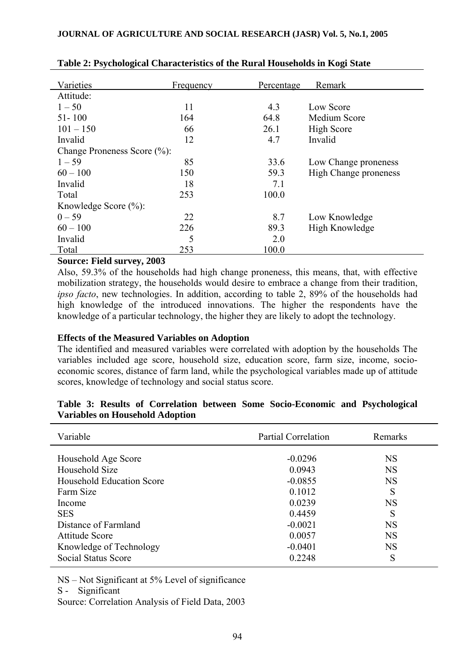| Varieties                        | Frequency | Percentage | Remark                       |  |  |  |
|----------------------------------|-----------|------------|------------------------------|--|--|--|
| Attitude:                        |           |            |                              |  |  |  |
| $1 - 50$                         | 11        | 4.3        | Low Score                    |  |  |  |
| $51 - 100$                       | 164       | 64.8       | Medium Score                 |  |  |  |
| $101 - 150$                      | 66        | 26.1       | High Score                   |  |  |  |
| Invalid                          | 12        | 4.7        | Invalid                      |  |  |  |
| Change Proneness Score $(\% )$ : |           |            |                              |  |  |  |
| $1 - 59$                         | 85        | 33.6       | Low Change proneness         |  |  |  |
| $60 - 100$                       | 150       | 59.3       | <b>High Change proneness</b> |  |  |  |
| Invalid                          | 18        | 7.1        |                              |  |  |  |
| Total                            | 253       | 100.0      |                              |  |  |  |
| Knowledge Score $(\%)$ :         |           |            |                              |  |  |  |
| $0 - 59$                         | 22        | 8.7        | Low Knowledge                |  |  |  |
| $60 - 100$                       | 226       | 89.3       | High Knowledge               |  |  |  |
| Invalid                          | 5         | 2.0        |                              |  |  |  |
| Total                            | 253       | 100.0      |                              |  |  |  |

| Table 2: Psychological Characteristics of the Rural Households in Kogi State |  |  |
|------------------------------------------------------------------------------|--|--|
|                                                                              |  |  |

# **Source: Field survey, 2003**

Also, 59.3% of the households had high change proneness, this means, that, with effective mobilization strategy, the households would desire to embrace a change from their tradition, *ipso facto*, new technologies. In addition, according to table 2, 89% of the households had high knowledge of the introduced innovations. The higher the respondents have the knowledge of a particular technology, the higher they are likely to adopt the technology.

## **Effects of the Measured Variables on Adoption**

The identified and measured variables were correlated with adoption by the households The variables included age score, household size, education score, farm size, income, socioeconomic scores, distance of farm land, while the psychological variables made up of attitude scores, knowledge of technology and social status score.

| Variable                         | <b>Partial Correlation</b> | Remarks   |
|----------------------------------|----------------------------|-----------|
| Household Age Score              | $-0.0296$                  | <b>NS</b> |
| Household Size                   | 0.0943                     | <b>NS</b> |
| <b>Household Education Score</b> | $-0.0855$                  | <b>NS</b> |
| Farm Size                        | 0.1012                     | S         |
| Income                           | 0.0239                     | <b>NS</b> |
| <b>SES</b>                       | 0.4459                     | S         |
| Distance of Farmland             | $-0.0021$                  | <b>NS</b> |
| Attitude Score                   | 0.0057                     | <b>NS</b> |
| Knowledge of Technology          | $-0.0401$                  | <b>NS</b> |
| Social Status Score              | 0.2248                     | S         |

|  |  |                                        |  | Table 3: Results of Correlation between Some Socio-Economic and Psychological |  |
|--|--|----------------------------------------|--|-------------------------------------------------------------------------------|--|
|  |  | <b>Variables on Household Adoption</b> |  |                                                                               |  |

NS – Not Significant at 5% Level of significance

S - Significant

Source: Correlation Analysis of Field Data, 2003